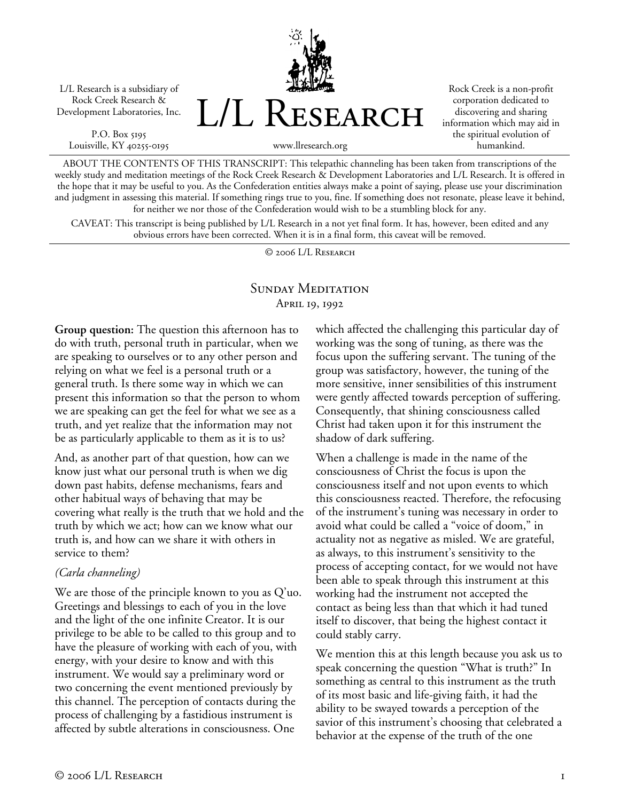L/L Research is a subsidiary of Rock Creek Research & Development Laboratories, Inc.

P.O. Box 5195 Louisville, KY 40255-0195 L/L Research

Rock Creek is a non-profit corporation dedicated to discovering and sharing information which may aid in the spiritual evolution of humankind.

www.llresearch.org

ABOUT THE CONTENTS OF THIS TRANSCRIPT: This telepathic channeling has been taken from transcriptions of the weekly study and meditation meetings of the Rock Creek Research & Development Laboratories and L/L Research. It is offered in the hope that it may be useful to you. As the Confederation entities always make a point of saying, please use your discrimination and judgment in assessing this material. If something rings true to you, fine. If something does not resonate, please leave it behind, for neither we nor those of the Confederation would wish to be a stumbling block for any.

CAVEAT: This transcript is being published by L/L Research in a not yet final form. It has, however, been edited and any obvious errors have been corrected. When it is in a final form, this caveat will be removed.

© 2006 L/L Research

# SUNDAY MEDITATION April 19, 1992

**Group question:** The question this afternoon has to do with truth, personal truth in particular, when we are speaking to ourselves or to any other person and relying on what we feel is a personal truth or a general truth. Is there some way in which we can present this information so that the person to whom we are speaking can get the feel for what we see as a truth, and yet realize that the information may not be as particularly applicable to them as it is to us?

And, as another part of that question, how can we know just what our personal truth is when we dig down past habits, defense mechanisms, fears and other habitual ways of behaving that may be covering what really is the truth that we hold and the truth by which we act; how can we know what our truth is, and how can we share it with others in service to them?

### *(Carla channeling)*

We are those of the principle known to you as Q'uo. Greetings and blessings to each of you in the love and the light of the one infinite Creator. It is our privilege to be able to be called to this group and to have the pleasure of working with each of you, with energy, with your desire to know and with this instrument. We would say a preliminary word or two concerning the event mentioned previously by this channel. The perception of contacts during the process of challenging by a fastidious instrument is affected by subtle alterations in consciousness. One

which affected the challenging this particular day of working was the song of tuning, as there was the focus upon the suffering servant. The tuning of the group was satisfactory, however, the tuning of the more sensitive, inner sensibilities of this instrument were gently affected towards perception of suffering. Consequently, that shining consciousness called Christ had taken upon it for this instrument the shadow of dark suffering.

When a challenge is made in the name of the consciousness of Christ the focus is upon the consciousness itself and not upon events to which this consciousness reacted. Therefore, the refocusing of the instrument's tuning was necessary in order to avoid what could be called a "voice of doom," in actuality not as negative as misled. We are grateful, as always, to this instrument's sensitivity to the process of accepting contact, for we would not have been able to speak through this instrument at this working had the instrument not accepted the contact as being less than that which it had tuned itself to discover, that being the highest contact it could stably carry.

We mention this at this length because you ask us to speak concerning the question "What is truth?" In something as central to this instrument as the truth of its most basic and life-giving faith, it had the ability to be swayed towards a perception of the savior of this instrument's choosing that celebrated a behavior at the expense of the truth of the one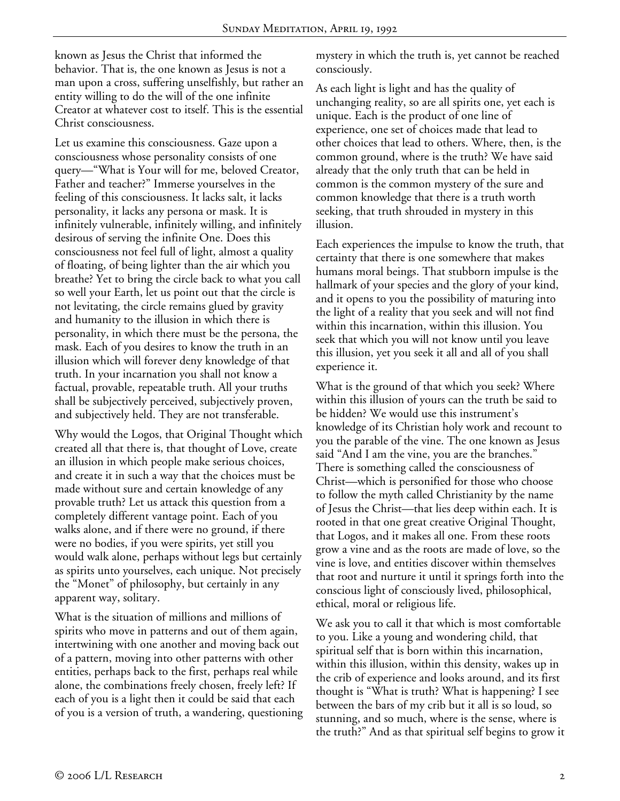known as Jesus the Christ that informed the behavior. That is, the one known as Jesus is not a man upon a cross, suffering unselfishly, but rather an entity willing to do the will of the one infinite Creator at whatever cost to itself. This is the essential Christ consciousness.

Let us examine this consciousness. Gaze upon a consciousness whose personality consists of one query—"What is Your will for me, beloved Creator, Father and teacher?" Immerse yourselves in the feeling of this consciousness. It lacks salt, it lacks personality, it lacks any persona or mask. It is infinitely vulnerable, infinitely willing, and infinitely desirous of serving the infinite One. Does this consciousness not feel full of light, almost a quality of floating, of being lighter than the air which you breathe? Yet to bring the circle back to what you call so well your Earth, let us point out that the circle is not levitating, the circle remains glued by gravity and humanity to the illusion in which there is personality, in which there must be the persona, the mask. Each of you desires to know the truth in an illusion which will forever deny knowledge of that truth. In your incarnation you shall not know a factual, provable, repeatable truth. All your truths shall be subjectively perceived, subjectively proven, and subjectively held. They are not transferable.

Why would the Logos, that Original Thought which created all that there is, that thought of Love, create an illusion in which people make serious choices, and create it in such a way that the choices must be made without sure and certain knowledge of any provable truth? Let us attack this question from a completely different vantage point. Each of you walks alone, and if there were no ground, if there were no bodies, if you were spirits, yet still you would walk alone, perhaps without legs but certainly as spirits unto yourselves, each unique. Not precisely the "Monet" of philosophy, but certainly in any apparent way, solitary.

What is the situation of millions and millions of spirits who move in patterns and out of them again, intertwining with one another and moving back out of a pattern, moving into other patterns with other entities, perhaps back to the first, perhaps real while alone, the combinations freely chosen, freely left? If each of you is a light then it could be said that each of you is a version of truth, a wandering, questioning mystery in which the truth is, yet cannot be reached consciously.

As each light is light and has the quality of unchanging reality, so are all spirits one, yet each is unique. Each is the product of one line of experience, one set of choices made that lead to other choices that lead to others. Where, then, is the common ground, where is the truth? We have said already that the only truth that can be held in common is the common mystery of the sure and common knowledge that there is a truth worth seeking, that truth shrouded in mystery in this illusion.

Each experiences the impulse to know the truth, that certainty that there is one somewhere that makes humans moral beings. That stubborn impulse is the hallmark of your species and the glory of your kind, and it opens to you the possibility of maturing into the light of a reality that you seek and will not find within this incarnation, within this illusion. You seek that which you will not know until you leave this illusion, yet you seek it all and all of you shall experience it.

What is the ground of that which you seek? Where within this illusion of yours can the truth be said to be hidden? We would use this instrument's knowledge of its Christian holy work and recount to you the parable of the vine. The one known as Jesus said "And I am the vine, you are the branches." There is something called the consciousness of Christ—which is personified for those who choose to follow the myth called Christianity by the name of Jesus the Christ—that lies deep within each. It is rooted in that one great creative Original Thought, that Logos, and it makes all one. From these roots grow a vine and as the roots are made of love, so the vine is love, and entities discover within themselves that root and nurture it until it springs forth into the conscious light of consciously lived, philosophical, ethical, moral or religious life.

We ask you to call it that which is most comfortable to you. Like a young and wondering child, that spiritual self that is born within this incarnation, within this illusion, within this density, wakes up in the crib of experience and looks around, and its first thought is "What is truth? What is happening? I see between the bars of my crib but it all is so loud, so stunning, and so much, where is the sense, where is the truth?" And as that spiritual self begins to grow it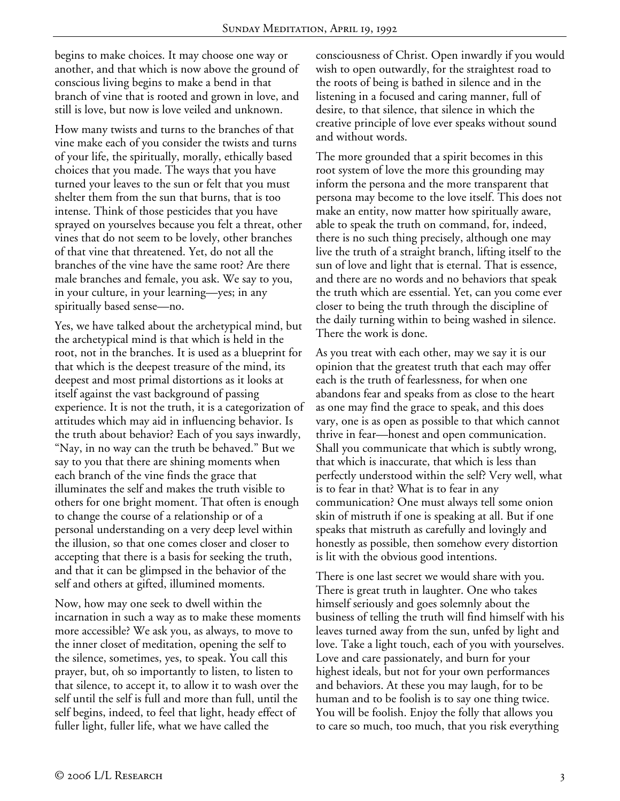begins to make choices. It may choose one way or another, and that which is now above the ground of conscious living begins to make a bend in that branch of vine that is rooted and grown in love, and still is love, but now is love veiled and unknown.

How many twists and turns to the branches of that vine make each of you consider the twists and turns of your life, the spiritually, morally, ethically based choices that you made. The ways that you have turned your leaves to the sun or felt that you must shelter them from the sun that burns, that is too intense. Think of those pesticides that you have sprayed on yourselves because you felt a threat, other vines that do not seem to be lovely, other branches of that vine that threatened. Yet, do not all the branches of the vine have the same root? Are there male branches and female, you ask. We say to you, in your culture, in your learning—yes; in any spiritually based sense—no.

Yes, we have talked about the archetypical mind, but the archetypical mind is that which is held in the root, not in the branches. It is used as a blueprint for that which is the deepest treasure of the mind, its deepest and most primal distortions as it looks at itself against the vast background of passing experience. It is not the truth, it is a categorization of attitudes which may aid in influencing behavior. Is the truth about behavior? Each of you says inwardly, "Nay, in no way can the truth be behaved." But we say to you that there are shining moments when each branch of the vine finds the grace that illuminates the self and makes the truth visible to others for one bright moment. That often is enough to change the course of a relationship or of a personal understanding on a very deep level within the illusion, so that one comes closer and closer to accepting that there is a basis for seeking the truth, and that it can be glimpsed in the behavior of the self and others at gifted, illumined moments.

Now, how may one seek to dwell within the incarnation in such a way as to make these moments more accessible? We ask you, as always, to move to the inner closet of meditation, opening the self to the silence, sometimes, yes, to speak. You call this prayer, but, oh so importantly to listen, to listen to that silence, to accept it, to allow it to wash over the self until the self is full and more than full, until the self begins, indeed, to feel that light, heady effect of fuller light, fuller life, what we have called the

consciousness of Christ. Open inwardly if you would wish to open outwardly, for the straightest road to the roots of being is bathed in silence and in the listening in a focused and caring manner, full of desire, to that silence, that silence in which the creative principle of love ever speaks without sound and without words.

The more grounded that a spirit becomes in this root system of love the more this grounding may inform the persona and the more transparent that persona may become to the love itself. This does not make an entity, now matter how spiritually aware, able to speak the truth on command, for, indeed, there is no such thing precisely, although one may live the truth of a straight branch, lifting itself to the sun of love and light that is eternal. That is essence, and there are no words and no behaviors that speak the truth which are essential. Yet, can you come ever closer to being the truth through the discipline of the daily turning within to being washed in silence. There the work is done.

As you treat with each other, may we say it is our opinion that the greatest truth that each may offer each is the truth of fearlessness, for when one abandons fear and speaks from as close to the heart as one may find the grace to speak, and this does vary, one is as open as possible to that which cannot thrive in fear—honest and open communication. Shall you communicate that which is subtly wrong, that which is inaccurate, that which is less than perfectly understood within the self? Very well, what is to fear in that? What is to fear in any communication? One must always tell some onion skin of mistruth if one is speaking at all. But if one speaks that mistruth as carefully and lovingly and honestly as possible, then somehow every distortion is lit with the obvious good intentions.

There is one last secret we would share with you. There is great truth in laughter. One who takes himself seriously and goes solemnly about the business of telling the truth will find himself with his leaves turned away from the sun, unfed by light and love. Take a light touch, each of you with yourselves. Love and care passionately, and burn for your highest ideals, but not for your own performances and behaviors. At these you may laugh, for to be human and to be foolish is to say one thing twice. You will be foolish. Enjoy the folly that allows you to care so much, too much, that you risk everything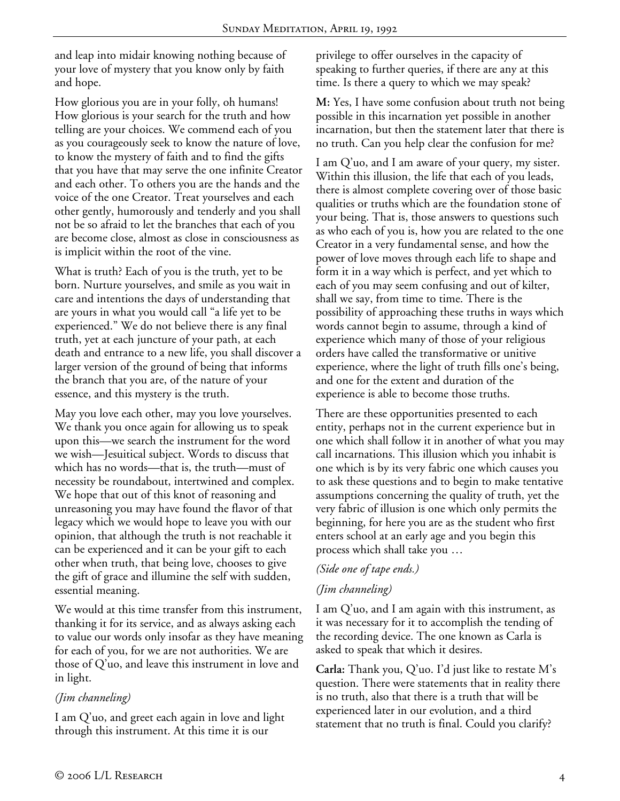and leap into midair knowing nothing because of your love of mystery that you know only by faith and hope.

How glorious you are in your folly, oh humans! How glorious is your search for the truth and how telling are your choices. We commend each of you as you courageously seek to know the nature of love, to know the mystery of faith and to find the gifts that you have that may serve the one infinite Creator and each other. To others you are the hands and the voice of the one Creator. Treat yourselves and each other gently, humorously and tenderly and you shall not be so afraid to let the branches that each of you are become close, almost as close in consciousness as is implicit within the root of the vine.

What is truth? Each of you is the truth, yet to be born. Nurture yourselves, and smile as you wait in care and intentions the days of understanding that are yours in what you would call "a life yet to be experienced." We do not believe there is any final truth, yet at each juncture of your path, at each death and entrance to a new life, you shall discover a larger version of the ground of being that informs the branch that you are, of the nature of your essence, and this mystery is the truth.

May you love each other, may you love yourselves. We thank you once again for allowing us to speak upon this—we search the instrument for the word we wish—Jesuitical subject. Words to discuss that which has no words—that is, the truth—must of necessity be roundabout, intertwined and complex. We hope that out of this knot of reasoning and unreasoning you may have found the flavor of that legacy which we would hope to leave you with our opinion, that although the truth is not reachable it can be experienced and it can be your gift to each other when truth, that being love, chooses to give the gift of grace and illumine the self with sudden, essential meaning.

We would at this time transfer from this instrument, thanking it for its service, and as always asking each to value our words only insofar as they have meaning for each of you, for we are not authorities. We are those of Q'uo, and leave this instrument in love and in light.

## *(Jim channeling)*

I am Q'uo, and greet each again in love and light through this instrument. At this time it is our

privilege to offer ourselves in the capacity of speaking to further queries, if there are any at this time. Is there a query to which we may speak?

**M:** Yes, I have some confusion about truth not being possible in this incarnation yet possible in another incarnation, but then the statement later that there is no truth. Can you help clear the confusion for me?

I am Q'uo, and I am aware of your query, my sister. Within this illusion, the life that each of you leads, there is almost complete covering over of those basic qualities or truths which are the foundation stone of your being. That is, those answers to questions such as who each of you is, how you are related to the one Creator in a very fundamental sense, and how the power of love moves through each life to shape and form it in a way which is perfect, and yet which to each of you may seem confusing and out of kilter, shall we say, from time to time. There is the possibility of approaching these truths in ways which words cannot begin to assume, through a kind of experience which many of those of your religious orders have called the transformative or unitive experience, where the light of truth fills one's being, and one for the extent and duration of the experience is able to become those truths.

There are these opportunities presented to each entity, perhaps not in the current experience but in one which shall follow it in another of what you may call incarnations. This illusion which you inhabit is one which is by its very fabric one which causes you to ask these questions and to begin to make tentative assumptions concerning the quality of truth, yet the very fabric of illusion is one which only permits the beginning, for here you are as the student who first enters school at an early age and you begin this process which shall take you …

## *(Side one of tape ends.)*

## *(Jim channeling)*

I am Q'uo, and I am again with this instrument, as it was necessary for it to accomplish the tending of the recording device. The one known as Carla is asked to speak that which it desires.

**Carla:** Thank you, Q'uo. I'd just like to restate M's question. There were statements that in reality there is no truth, also that there is a truth that will be experienced later in our evolution, and a third statement that no truth is final. Could you clarify?